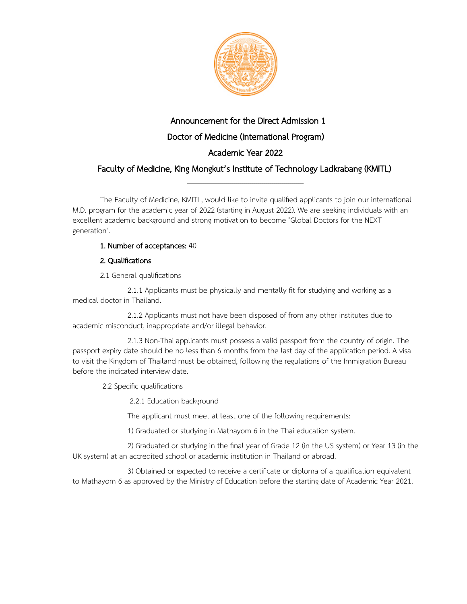

# Announcement for the Direct Admission 1 Doctor of Medicine (International Program) Academic Year 2022

## Faculty of Medicine, King Mongkut's Institute of Technology Ladkrabang (KMITL) \_\_\_\_\_\_\_\_\_\_\_\_\_\_\_\_\_\_\_\_\_\_\_\_\_\_\_\_\_\_\_\_\_\_\_\_\_\_\_\_\_\_\_\_\_\_\_\_\_\_\_\_\_\_\_\_\_\_

The Faculty of Medicine, KMITL, would like to invite qualified applicants to join our international M.D. program for the academic year of 2022 (starting in August 2022). We are seeking individuals with an excellent academic background and strong motivation to become "Global Doctors for the NEXT generation".

## 1. Number of acceptances: 40

### 2. Qualifications

2.1 General qualifications

2.1.1 Applicants must be physically and mentally fit for studying and working as a medical doctor in Thailand.

2.1.2 Applicants must not have been disposed of from any other institutes due to academic misconduct, inappropriate and/or illegal behavior.

2.1.3 Non-Thai applicants must possess a valid passport from the country of origin. The passport expiry date should be no less than 6 months from the last day of the application period. A visa to visit the Kingdom of Thailand must be obtained, following the regulations of the Immigration Bureau before the indicated interview date.

2.2 Specific qualifications

2.2.1 Education background

The applicant must meet at least one of the following requirements:

1) Graduated or studying in Mathayom 6 in the Thai education system.

2) Graduated or studying in the final year of Grade 12 (in the US system) or Year 13 (in the UK system) at an accredited school or academic institution in Thailand or abroad.

3) Obtained or expected to receive a certificate or diploma of a qualification equivalent to Mathayom 6 as approved by the Ministry of Education before the starting date of Academic Year 2021.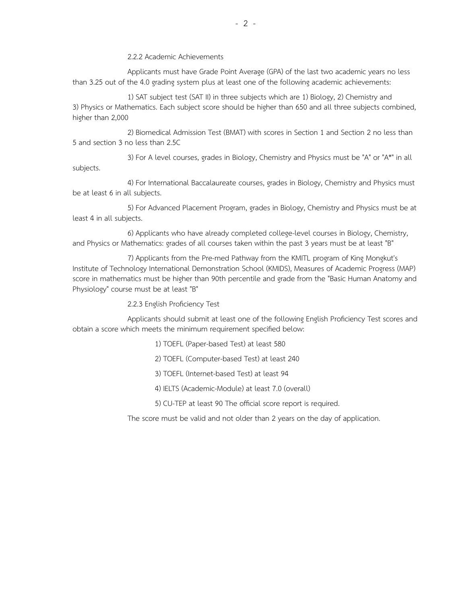2.2.2 Academic Achievements

Applicants must have Grade Point Average (GPA) of the last two academic years no less than 3.25 out of the 4.0 grading system plus at least one of the following academic achievements:

1) SAT subject test (SAT II) in three subjects which are 1) Biology, 2) Chemistry and 3) Physics or Mathematics. Each subject score should be higher than 650 and all three subjects combined, higher than 2,000

2) Biomedical Admission Test (BMAT) with scores in Section 1 and Section 2 no less than 5 and section 3 no less than 2.5C

3) For A level courses, grades in Biology, Chemistry and Physics must be "A" or "A\*" in all subjects.

4) For International Baccalaureate courses, grades in Biology, Chemistry and Physics must be at least 6 in all subjects.

5) For Advanced Placement Program, grades in Biology, Chemistry and Physics must be at least 4 in all subjects.

6) Applicants who have already completed college-level courses in Biology, Chemistry, and Physics or Mathematics: grades of all courses taken within the past 3 years must be at least "B"

7) Applicants from the Pre-med Pathway from the KMITL program of King Mongkut's Institute of Technology International Demonstration School (KMIDS), Measures of Academic Progress (MAP) score in mathematics must be higher than 90th percentile and grade from the "Basic Human Anatomy and Physiology" course must be at least "B"

2.2.3 English Proficiency Test

Applicants should submit at least one of the following English Proficiency Test scores and obtain a score which meets the minimum requirement specified below:

1) TOEFL (Paper-based Test) at least 580

2) TOEFL (Computer-based Test) at least 240

3) TOEFL (Internet-based Test) at least 94

4) IELTS (Academic-Module) at least 7.0 (overall)

5) CU-TEP at least 90 The official score report is required.

The score must be valid and not older than 2 years on the day of application.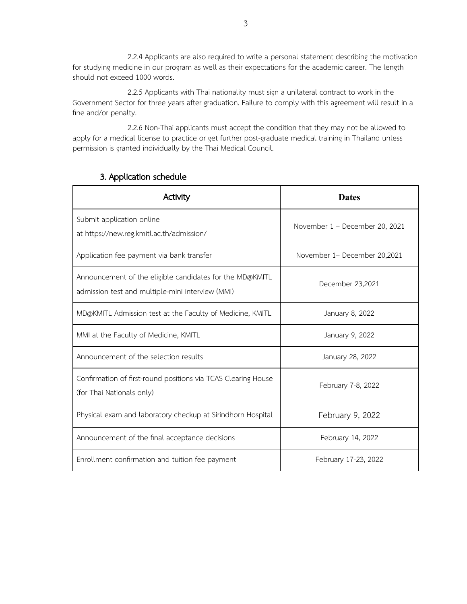2.2.4 Applicants are also required to write a personal statement describing the motivation for studying medicine in our program as well as their expectations for the academic career. The length should not exceed 1000 words.

2.2.5 Applicants with Thai nationality must sign a unilateral contract to work in the Government Sector for three years after graduation. Failure to comply with this agreement will result in a fine and/or penalty.

2.2.6 Non-Thai applicants must accept the condition that they may not be allowed to apply for a medical license to practice or get further post-graduate medical training in Thailand unless permission is granted individually by the Thai Medical Council.

| Activity                                                                                                     | <b>Dates</b>                   |
|--------------------------------------------------------------------------------------------------------------|--------------------------------|
| Submit application online<br>at https://new.reg.kmitl.ac.th/admission/                                       | November 1 - December 20, 2021 |
| Application fee payment via bank transfer                                                                    | November 1- December 20,2021   |
| Announcement of the eligible candidates for the MD@KMITL<br>admission test and multiple-mini interview (MMI) | December 23,2021               |
| MD@KMITL Admission test at the Faculty of Medicine, KMITL                                                    | January 8, 2022                |
| MMI at the Faculty of Medicine, KMITL                                                                        | January 9, 2022                |
| Announcement of the selection results                                                                        | January 28, 2022               |
| Confirmation of first-round positions via TCAS Clearing House<br>(for Thai Nationals only)                   | February 7-8, 2022             |
| Physical exam and laboratory checkup at Sirindhorn Hospital                                                  | February 9, 2022               |
| Announcement of the final acceptance decisions                                                               | February 14, 2022              |
| Enrollment confirmation and tuition fee payment                                                              | February 17-23, 2022           |

## 3. Application schedule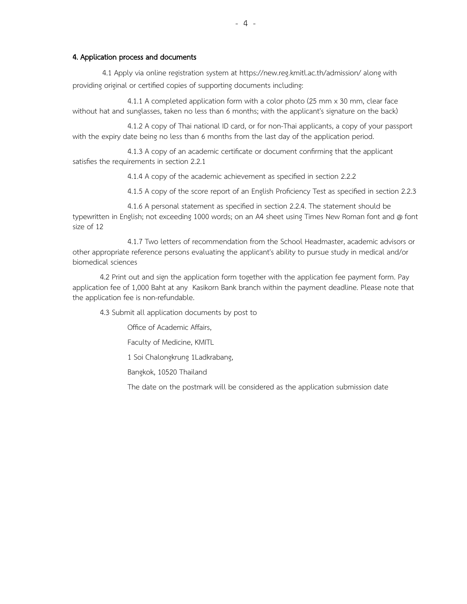#### 4. Application process and documents

4.1 Apply via online registration system at https://new.reg.kmitl.ac.th/admission/ along with providing original or certified copies of supporting documents including:

4.1.1 A completed application form with a color photo (25 mm x 30 mm, clear face without hat and sunglasses, taken no less than 6 months; with the applicant's signature on the back)

4.1.2 A copy of Thai national ID card, or for non-Thai applicants, a copy of your passport with the expiry date being no less than 6 months from the last day of the application period.

4.1.3 A copy of an academic certificate or document confirming that the applicant satisfies the requirements in section 2.2.1

4.1.4 A copy of the academic achievement as specified in section 2.2.2

4.1.5 A copy of the score report of an English Proficiency Test as specified in section 2.2.3

4.1.6 A personal statement as specified in section 2.2.4. The statement should be typewritten in English; not exceeding 1000 words; on an A4 sheet using Times New Roman font and @ font size of 12

4.1.7 Two letters of recommendation from the School Headmaster, academic advisors or other appropriate reference persons evaluating the applicant's ability to pursue study in medical and/or biomedical sciences

4.2 Print out and sign the application form together with the application fee payment form. Pay application fee of 1,000 Baht at any Kasikorn Bank branch within the payment deadline. Please note that the application fee is non-refundable.

4.3 Submit all application documents by post to

Office of Academic Affairs,

Faculty of Medicine, KMITL

1 Soi Chalongkrung 1Ladkrabang,

Bangkok, 10520 Thailand

The date on the postmark will be considered as the application submission date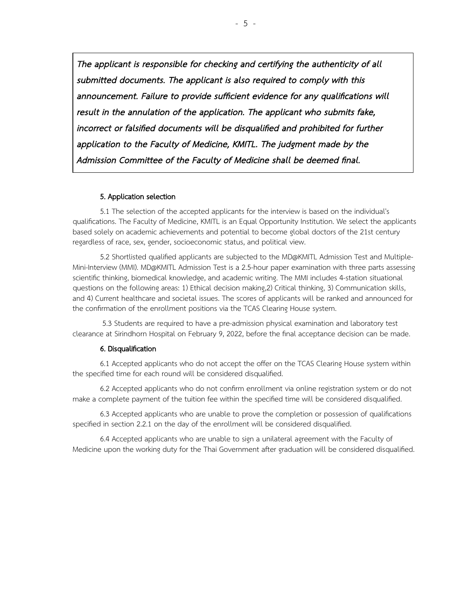The applicant is responsible for checking and certifying the authenticity of all submitted documents. The applicant is also required to comply with this announcement. Failure to provide sufficient evidence for any qualifications will result in the annulation of the application. The applicant who submits fake, incorrect or falsified documents will be disqualified and prohibited for further application to the Faculty of Medicine, KMITL. The judgment made by the Admission Committee of the Faculty of Medicine shall be deemed final.

#### 5. Application selection

5.1 The selection of the accepted applicants for the interview is based on the individual's qualifications. The Faculty of Medicine, KMITL is an Equal Opportunity Institution. We select the applicants based solely on academic achievements and potential to become global doctors of the 21st century regardless of race, sex, gender, socioeconomic status, and political view.

5.2 Shortlisted qualified applicants are subjected to the MD@KMITL Admission Test and Multiple-Mini-Interview (MMI). MD@KMITL Admission Test is a 2.5-hour paper examination with three parts assessing scientific thinking, biomedical knowledge, and academic writing. The MMI includes 4-station situational questions on the following areas: 1) Ethical decision making,2) Critical thinking, 3) Communication skills, and 4) Current healthcare and societal issues. The scores of applicants will be ranked and announced for the confirmation of the enrollment positions via the TCAS Clearing House system.

5.3 Students are required to have a pre-admission physical examination and laboratory test clearance at Sirindhorn Hospital on February 9, 2022, before the final acceptance decision can be made.

#### 6. Disqualification

6.1 Accepted applicants who do not accept the offer on the TCAS Clearing House system within the specified time for each round will be considered disqualified.

6.2 Accepted applicants who do not confirm enrollment via online registration system or do not make a complete payment of the tuition fee within the specified time will be considered disqualified.

6.3 Accepted applicants who are unable to prove the completion or possession of qualifications specified in section 2.2.1 on the day of the enrollment will be considered disqualified.

6.4 Accepted applicants who are unable to sign a unilateral agreement with the Faculty of Medicine upon the working duty for the Thai Government after graduation will be considered disqualified.